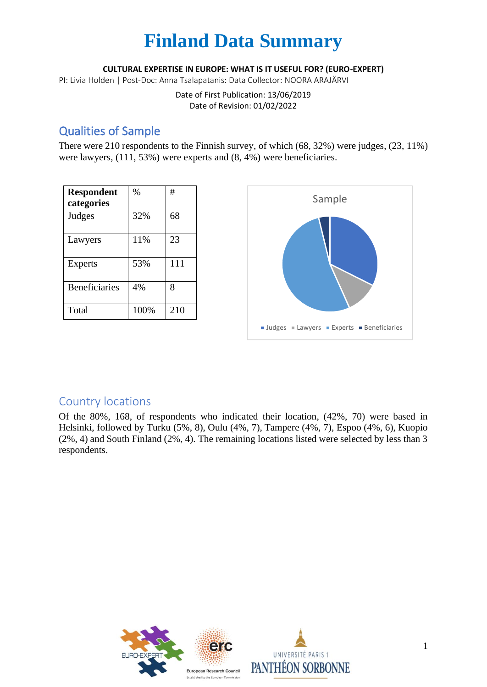#### **CULTURAL EXPERTISE IN EUROPE: WHAT IS IT USEFUL FOR? (EURO-EXPERT)**

PI: Livia Holden | Post-Doc: Anna Tsalapatanis: Data Collector: NOORA ARAJÄRVI

Date of First Publication: 13/06/2019 Date of Revision: 01/02/2022

### Qualities of Sample

There were 210 respondents to the Finnish survey, of which (68, 32%) were judges, (23, 11%) were lawyers, (111, 53%) were experts and (8, 4%) were beneficiaries.

| <b>Respondent</b><br>categories | $\%$ | #   |
|---------------------------------|------|-----|
| Judges                          | 32%  | 68  |
| Lawyers                         | 11%  | 23  |
| <b>Experts</b>                  | 53%  | 111 |
| <b>Beneficiaries</b>            | 4%   | 8   |
| Total                           | 100% | 210 |



### Country locations

Of the 80%, 168, of respondents who indicated their location, (42%, 70) were based in Helsinki, followed by Turku (5%, 8), Oulu (4%, 7), Tampere (4%, 7), Espoo (4%, 6), Kuopio (2%, 4) and South Finland (2%, 4). The remaining locations listed were selected by less than 3 respondents.



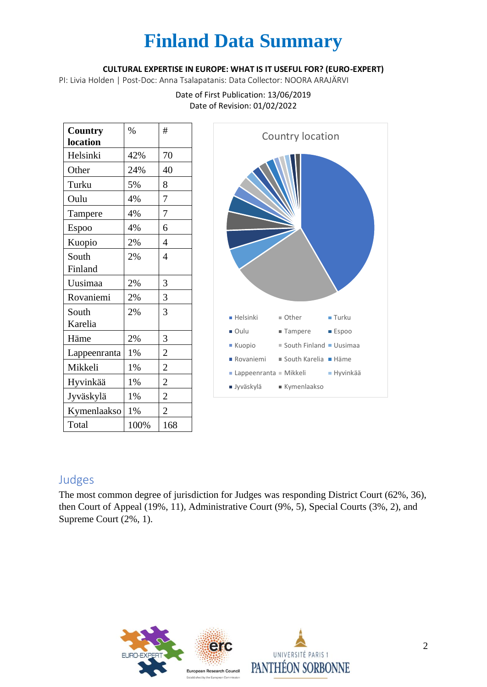#### **CULTURAL EXPERTISE IN EUROPE: WHAT IS IT USEFUL FOR? (EURO-EXPERT)**

PI: Livia Holden | Post-Doc: Anna Tsalapatanis: Data Collector: NOORA ARAJÄRVI

| Country         | $\%$ | #              |
|-----------------|------|----------------|
| <b>location</b> |      |                |
| Helsinki        | 42%  | 70             |
| Other           | 24%  | 40             |
| Turku           | 5%   | 8              |
| Oulu            | 4%   | 7              |
| Tampere         | 4%   | $\overline{7}$ |
| Espoo           | 4%   | 6              |
| Kuopio          | 2%   | 4              |
| South           | 2%   | 4              |
| Finland         |      |                |
| Uusimaa         | 2%   | 3              |
| Rovaniemi       | 2%   | 3              |
| South           | 2%   | 3              |
| Karelia         |      |                |
| Häme            | 2%   | 3              |
| Lappeenranta    | 1%   | $\overline{2}$ |
| Mikkeli         | 1%   | $\overline{2}$ |
| Hyvinkää        | 1%   | $\overline{c}$ |
| Jyväskylä       | 1%   | $\overline{2}$ |
| Kymenlaakso     | 1%   | $\overline{2}$ |
| Total           | 100% | 168            |

#### Date of First Publication: 13/06/2019 Date of Revision: 01/02/2022



### Judges

The most common degree of jurisdiction for Judges was responding District Court (62%, 36), then Court of Appeal (19%, 11), Administrative Court (9%, 5), Special Courts (3%, 2), and Supreme Court (2%, 1).



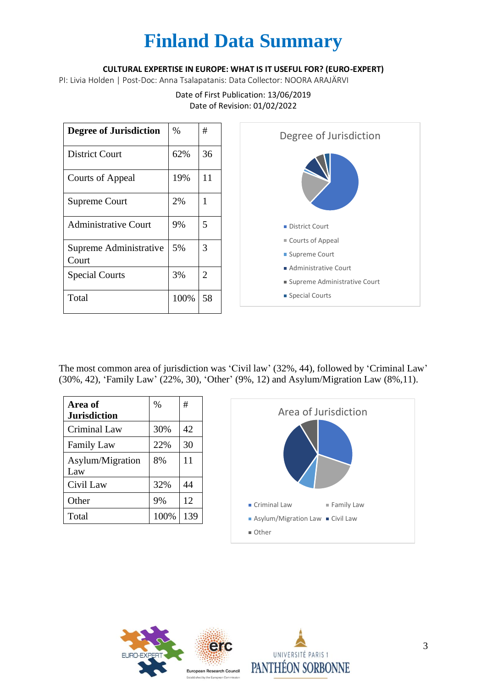#### **CULTURAL EXPERTISE IN EUROPE: WHAT IS IT USEFUL FOR? (EURO-EXPERT)**

Date of First Publication: 13/06/2019

PI: Livia Holden | Post-Doc: Anna Tsalapatanis: Data Collector: NOORA ARAJÄRVI

## Date of Revision: 01/02/2022 **Degree of Jurisdiction**  $\%$   $\#$ District Court  $\begin{array}{|c|c|c|c|c|c|c|c|c|} \hline 62\% & 36 \\\hline \end{array}$ Courts of Appeal 19% 11 Supreme Court 2% | 1 Administrative Court  $9\%$  | 5

5% 3



The most common area of jurisdiction was 'Civil law' (32%, 44), followed by 'Criminal Law' (30%, 42), 'Family Law' (22%, 30), 'Other' (9%, 12) and Asylum/Migration Law (8%,11).

| Area of<br><b>Jurisdiction</b> | $\%$ | #   |
|--------------------------------|------|-----|
| <b>Criminal Law</b>            | 30%  | 42  |
| <b>Family Law</b>              | 22%  | 30  |
| Asylum/Migration<br>Law        | 8%   | 11  |
| Civil Law                      | 32%  | 44  |
| Other                          | 9%   | 12  |
| Total                          | 100% | 139 |

Supreme Administrative

Special Courts 3% 2

Total 100% 58

Court





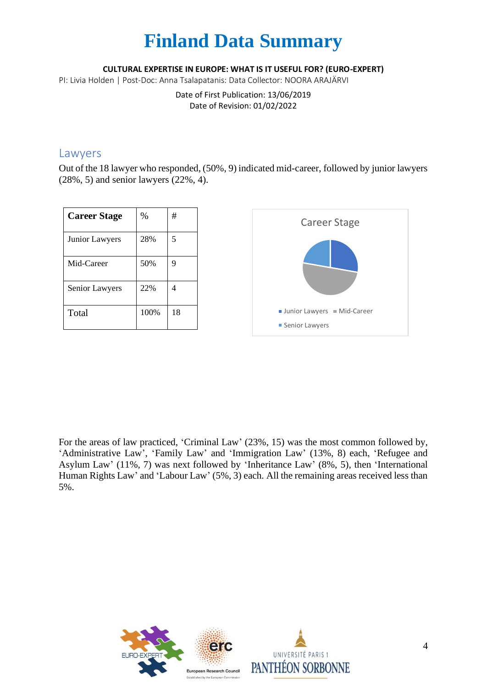#### **CULTURAL EXPERTISE IN EUROPE: WHAT IS IT USEFUL FOR? (EURO-EXPERT)**

PI: Livia Holden | Post-Doc: Anna Tsalapatanis: Data Collector: NOORA ARAJÄRVI

Date of First Publication: 13/06/2019 Date of Revision: 01/02/2022

#### Lawyers

Out of the 18 lawyer who responded, (50%, 9) indicated mid-career, followed by junior lawyers (28%, 5) and senior lawyers (22%, 4).

| <b>Career Stage</b> | $\%$ | #  |
|---------------------|------|----|
| Junior Lawyers      | 28%  | 5  |
| Mid-Career          | 50%  | 9  |
| Senior Lawyers      | 22%  |    |
| Total               | 100% | 18 |



For the areas of law practiced, 'Criminal Law' (23%, 15) was the most common followed by, 'Administrative Law', 'Family Law' and 'Immigration Law' (13%, 8) each, 'Refugee and Asylum Law' (11%, 7) was next followed by 'Inheritance Law' (8%, 5), then 'International Human Rights Law' and 'Labour Law' (5%, 3) each. All the remaining areas received less than 5%.



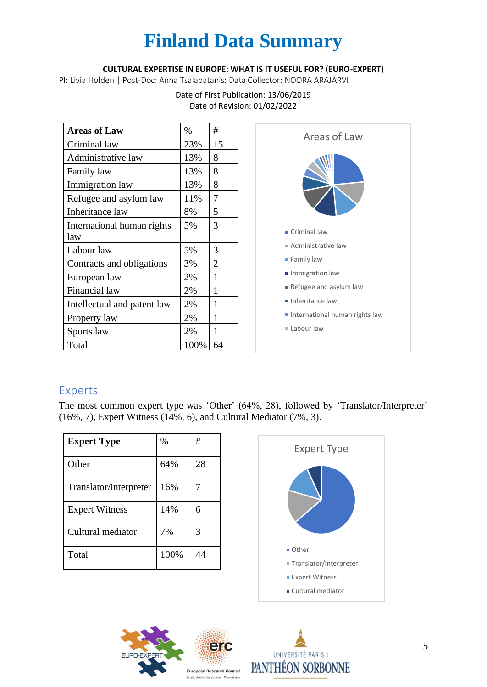#### **CULTURAL EXPERTISE IN EUROPE: WHAT IS IT USEFUL FOR? (EURO-EXPERT)**

PI: Livia Holden | Post-Doc: Anna Tsalapatanis: Data Collector: NOORA ARAJÄRVI

#### Date of First Publication: 13/06/2019 Date of Revision: 01/02/2022

| <b>Areas of Law</b>         | $\%$ | #  |
|-----------------------------|------|----|
| Criminal law                | 23%  | 15 |
| Administrative law          | 13%  | 8  |
| Family law                  | 13%  | 8  |
| Immigration law             | 13%  | 8  |
| Refugee and asylum law      | 11%  | 7  |
| Inheritance law             | 8%   | 5  |
| International human rights  | 5%   | 3  |
| law                         |      |    |
| Labour law                  | 5%   | 3  |
| Contracts and obligations   | 3%   | 2  |
| European law                | 2%   | 1  |
| Financial law               | 2%   | 1  |
| Intellectual and patent law | 2%   | 1  |
| Property law                | 2%   | 1  |
| Sports law                  | 2%   | 1  |
| Total                       | 100% | 64 |



### Experts

The most common expert type was 'Other' (64%, 28), followed by 'Translator/Interpreter' (16%, 7), Expert Witness (14%, 6), and Cultural Mediator (7%, 3).

| <b>Expert Type</b>     | $\%$ | #  |
|------------------------|------|----|
| Other                  | 64%  | 28 |
| Translator/interpreter | 16%  |    |
| <b>Expert Witness</b>  | 14%  | 6  |
| Cultural mediator      | 7%   | 3  |
| Total                  | 100% | ΔΔ |





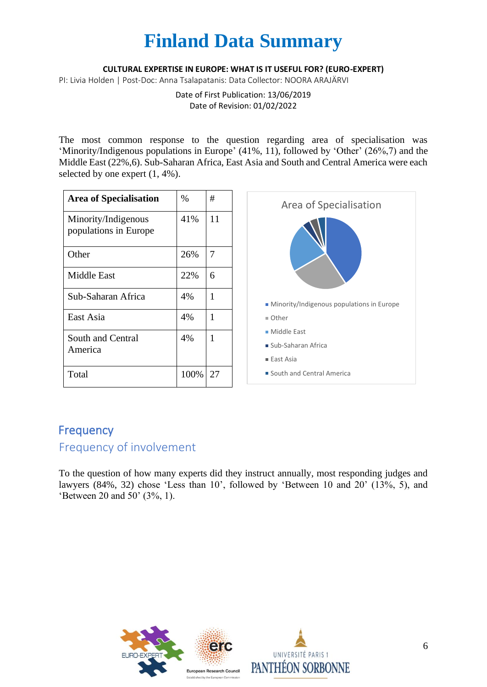#### **CULTURAL EXPERTISE IN EUROPE: WHAT IS IT USEFUL FOR? (EURO-EXPERT)**

PI: Livia Holden | Post-Doc: Anna Tsalapatanis: Data Collector: NOORA ARAJÄRVI

Date of First Publication: 13/06/2019 Date of Revision: 01/02/2022

The most common response to the question regarding area of specialisation was 'Minority/Indigenous populations in Europe' (41%, 11), followed by 'Other' (26%,7) and the Middle East (22%,6). Sub-Saharan Africa, East Asia and South and Central America were each selected by one expert (1, 4%).

| <b>Area of Specialisation</b>                | $\%$ | #  |  |
|----------------------------------------------|------|----|--|
| Minority/Indigenous<br>populations in Europe | 41%  | 11 |  |
| Other                                        | 26%  | 7  |  |
| <b>Middle East</b>                           | 22%  | 6  |  |
| Sub-Saharan Africa                           | 4%   | 1  |  |
| East Asia                                    | 4%   | 1  |  |
| South and Central<br>America                 | 4%   | 1  |  |
| Total                                        | 100% | 27 |  |



### **Frequency**

### Frequency of involvement

To the question of how many experts did they instruct annually, most responding judges and lawyers (84%, 32) chose 'Less than 10', followed by 'Between 10 and 20' (13%, 5), and 'Between 20 and 50' (3%, 1).



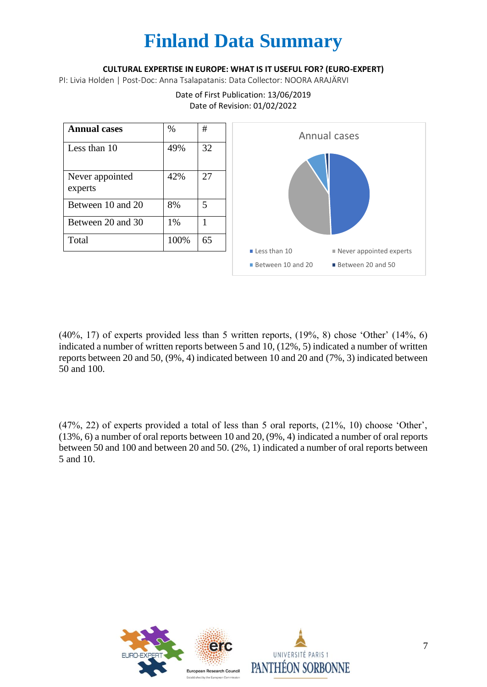#### **CULTURAL EXPERTISE IN EUROPE: WHAT IS IT USEFUL FOR? (EURO-EXPERT)**

PI: Livia Holden | Post-Doc: Anna Tsalapatanis: Data Collector: NOORA ARAJÄRVI



Date of First Publication: 13/06/2019 Date of Revision: 01/02/2022

(40%, 17) of experts provided less than 5 written reports, (19%, 8) chose 'Other' (14%, 6) indicated a number of written reports between 5 and 10, (12%, 5) indicated a number of written reports between 20 and 50, (9%, 4) indicated between 10 and 20 and (7%, 3) indicated between 50 and 100.

(47%, 22) of experts provided a total of less than 5 oral reports, (21%, 10) choose 'Other', (13%, 6) a number of oral reports between 10 and 20, (9%, 4) indicated a number of oral reports between 50 and 100 and between 20 and 50. (2%, 1) indicated a number of oral reports between 5 and 10.



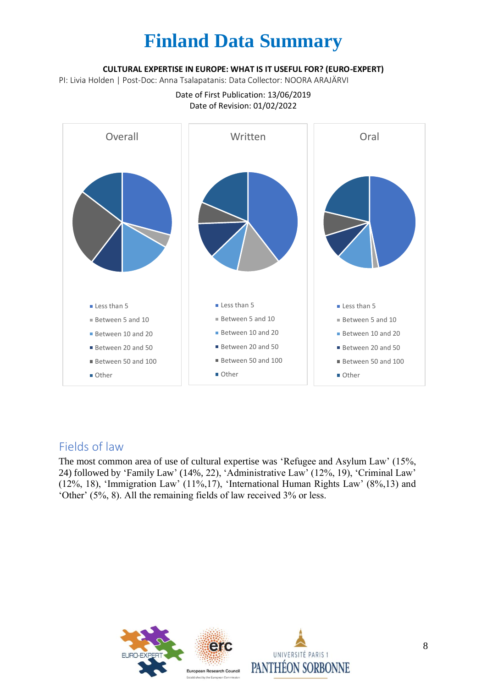#### **CULTURAL EXPERTISE IN EUROPE: WHAT IS IT USEFUL FOR? (EURO-EXPERT)**

PI: Livia Holden | Post-Doc: Anna Tsalapatanis: Data Collector: NOORA ARAJÄRVI



Date of First Publication: 13/06/2019 Date of Revision: 01/02/2022

### Fields of law

The most common area of use of cultural expertise was 'Refugee and Asylum Law' (15%, 24) followed by 'Family Law' (14%, 22), 'Administrative Law' (12%, 19), 'Criminal Law' (12%, 18), 'Immigration Law' (11%,17), 'International Human Rights Law' (8%,13) and 'Other' (5%, 8). All the remaining fields of law received 3% or less.



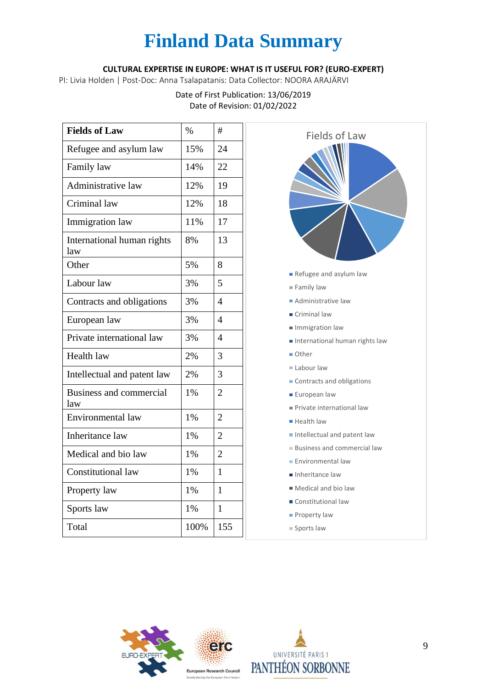#### **CULTURAL EXPERTISE IN EUROPE: WHAT IS IT USEFUL FOR? (EURO-EXPERT)**

PI: Livia Holden | Post-Doc: Anna Tsalapatanis: Data Collector: NOORA ARAJÄRVI

#### Date of First Publication: 13/06/2019 Date of Revision: 01/02/2022

| <b>Fields of Law</b>              | $\%$ | #              |
|-----------------------------------|------|----------------|
| Refugee and asylum law            | 15%  | 24             |
| Family law                        | 14%  | 22             |
| Administrative law                | 12%  | 19             |
| Criminal law                      | 12%  | 18             |
| Immigration law                   | 11%  | 17             |
| International human rights<br>law | 8%   | 13             |
| Other                             | 5%   | 8              |
| Labour law                        | 3%   | 5              |
| Contracts and obligations         | 3%   | $\overline{4}$ |
| European law                      | 3%   | 4              |
| Private international law         | 3%   | $\overline{4}$ |
| Health law                        | 2%   | 3              |
| Intellectual and patent law       | 2%   | 3              |
| Business and commercial<br>law    | 1%   | $\overline{2}$ |
| Environmental law                 | 1%   | $\overline{2}$ |
| <b>Inheritance</b> law            | 1%   | $\overline{2}$ |
| Medical and bio law               | 1%   | $\overline{2}$ |
| <b>Constitutional law</b>         | 1%   | 1              |
| Property law                      | 1%   | $\mathbf{1}$   |
| Sports law                        | 1%   | 1              |
| Total                             | 100% | 155            |



- **Property law**
- $\equiv$  Sports law



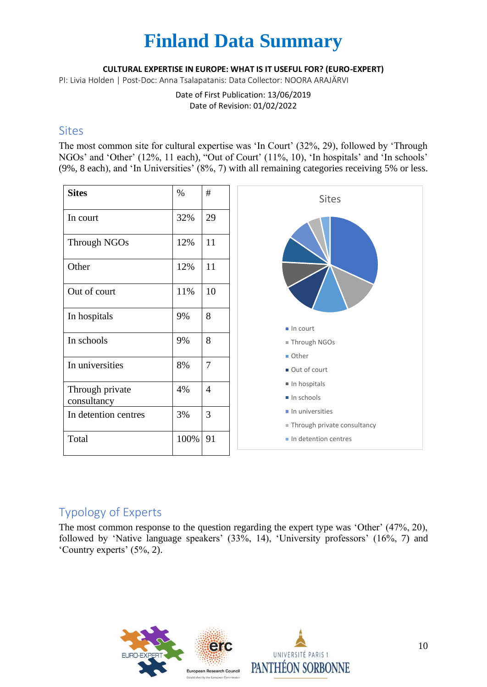#### **CULTURAL EXPERTISE IN EUROPE: WHAT IS IT USEFUL FOR? (EURO-EXPERT)**

PI: Livia Holden | Post-Doc: Anna Tsalapatanis: Data Collector: NOORA ARAJÄRVI

Date of First Publication: 13/06/2019 Date of Revision: 01/02/2022

### **Sites**

The most common site for cultural expertise was 'In Court' (32%, 29), followed by 'Through NGOs' and 'Other' (12%, 11 each), "Out of Court' (11%, 10), 'In hospitals' and 'In schools' (9%, 8 each), and 'In Universities' (8%, 7) with all remaining categories receiving 5% or less.

| <b>Sites</b>                   | $\%$ | #              | <b>Sites</b>                                                  |
|--------------------------------|------|----------------|---------------------------------------------------------------|
| In court                       | 32%  | 29             |                                                               |
| <b>Through NGOs</b>            | 12%  | 11             |                                                               |
| Other                          | 12%  | 11             |                                                               |
| Out of court                   | 11%  | 10             |                                                               |
| In hospitals                   | 9%   | 8              | $\blacksquare$ In court                                       |
| In schools                     | 9%   | 8              | ■ Through NGOs                                                |
| In universities                | 8%   | 7              | Other<br>Out of court                                         |
| Through private<br>consultancy | 4%   | $\overline{4}$ | In hospitals<br>In schools                                    |
| In detention centres           | 3%   | 3              | $\blacksquare$ In universities<br>Through private consultancy |
| Total                          | 100% | 91             | In detention centres                                          |

## Typology of Experts

The most common response to the question regarding the expert type was 'Other' (47%, 20), followed by 'Native language speakers' (33%, 14), 'University professors' (16%, 7) and 'Country experts' (5%, 2).



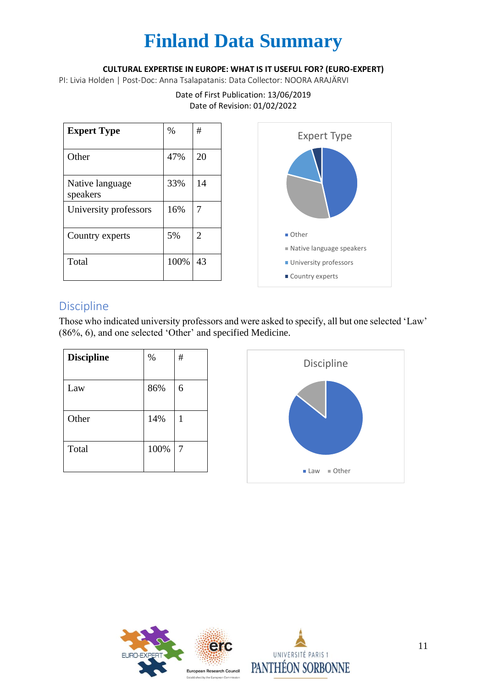#### **CULTURAL EXPERTISE IN EUROPE: WHAT IS IT USEFUL FOR? (EURO-EXPERT)**

PI: Livia Holden | Post-Doc: Anna Tsalapatanis: Data Collector: NOORA ARAJÄRVI

#### Date of First Publication: 13/06/2019 Date of Revision: 01/02/2022

| <b>Expert Type</b>          | $\%$ | #              | <b>Expert Type</b>       |
|-----------------------------|------|----------------|--------------------------|
| Other                       | 47%  | 20             |                          |
| Native language<br>speakers | 33%  | 14             |                          |
| University professors       | 16%  | 7              |                          |
| Country experts             | 5%   | $\overline{2}$ | ■ Other                  |
|                             |      |                | Native language speakers |
| Total                       | 100% | 43             | ■ University professors  |
|                             |      |                | Country experts          |

### Discipline

Those who indicated university professors and were asked to specify, all but one selected 'Law' (86%, 6), and one selected 'Other' and specified Medicine.





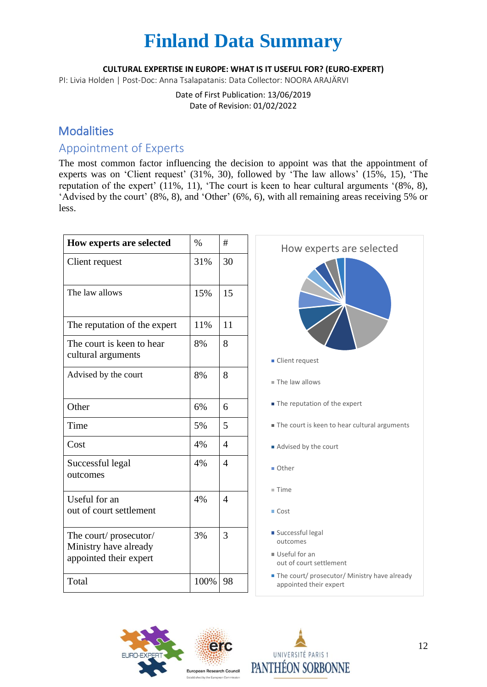#### **CULTURAL EXPERTISE IN EUROPE: WHAT IS IT USEFUL FOR? (EURO-EXPERT)**

PI: Livia Holden | Post-Doc: Anna Tsalapatanis: Data Collector: NOORA ARAJÄRVI

Date of First Publication: 13/06/2019 Date of Revision: 01/02/2022

### **Modalities**

## Appointment of Experts

The most common factor influencing the decision to appoint was that the appointment of experts was on 'Client request' (31%, 30), followed by 'The law allows' (15%, 15), 'The reputation of the expert' (11%, 11), 'The court is keen to hear cultural arguments '(8%, 8), 'Advised by the court' (8%, 8), and 'Other' (6%, 6), with all remaining areas receiving 5% or less.

| How experts are selected                        | $\%$ | #              | How experts are selected                                               |
|-------------------------------------------------|------|----------------|------------------------------------------------------------------------|
| Client request                                  | 31%  | 30             |                                                                        |
| The law allows                                  | 15%  | 15             |                                                                        |
| The reputation of the expert                    | 11%  | 11             |                                                                        |
| The court is keen to hear<br>cultural arguments | 8%   | 8              |                                                                        |
|                                                 |      |                | Client request                                                         |
| Advised by the court                            | 8%   | 8              | The law allows                                                         |
| Other                                           | 6%   | 6              | The reputation of the expert                                           |
| Time                                            | 5%   | 5              | The court is keen to hear cultural arguments                           |
| Cost                                            | 4%   | $\overline{4}$ | Advised by the court                                                   |
| Successful legal<br>outcomes                    | 4%   | $\overline{4}$ | Other                                                                  |
|                                                 |      |                | Time                                                                   |
| Useful for an<br>out of court settlement        | 4%   | $\overline{4}$ | ■ Cost                                                                 |
| The court/ prosecutor/                          | 3%   | 3              | Successful legal<br>outcomes                                           |
| Ministry have already<br>appointed their expert |      |                | Useful for an<br>out of court settlement                               |
| Total                                           | 100% | 98             | The court/ prosecutor/ Ministry have already<br>appointed their expert |



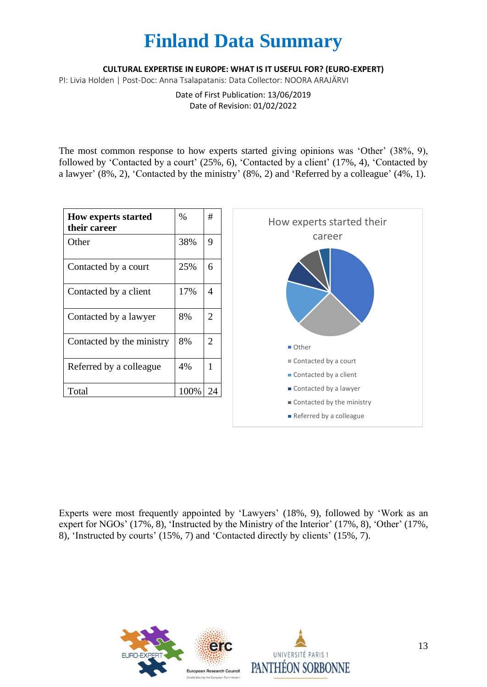#### **CULTURAL EXPERTISE IN EUROPE: WHAT IS IT USEFUL FOR? (EURO-EXPERT)**

PI: Livia Holden | Post-Doc: Anna Tsalapatanis: Data Collector: NOORA ARAJÄRVI

Date of First Publication: 13/06/2019 Date of Revision: 01/02/2022

The most common response to how experts started giving opinions was 'Other' (38%, 9), followed by 'Contacted by a court' (25%, 6), 'Contacted by a client' (17%, 4), 'Contacted by a lawyer' (8%, 2), 'Contacted by the ministry' (8%, 2) and 'Referred by a colleague' (4%, 1).

| <b>How experts started</b><br>their career | $\%$ | #              |
|--------------------------------------------|------|----------------|
| Other                                      | 38%  | 9              |
| Contacted by a court                       | 25%  | 6              |
| Contacted by a client                      | 17%  | 4              |
| Contacted by a lawyer                      | 8%   | $\overline{2}$ |
| Contacted by the ministry                  | 8%   | $\overline{2}$ |
| Referred by a colleague                    | 4%   | 1              |
| Total                                      | 100% | 24             |



Experts were most frequently appointed by 'Lawyers' (18%, 9), followed by 'Work as an expert for NGOs' (17%, 8), 'Instructed by the Ministry of the Interior' (17%, 8), 'Other' (17%, 8), 'Instructed by courts' (15%, 7) and 'Contacted directly by clients' (15%, 7).



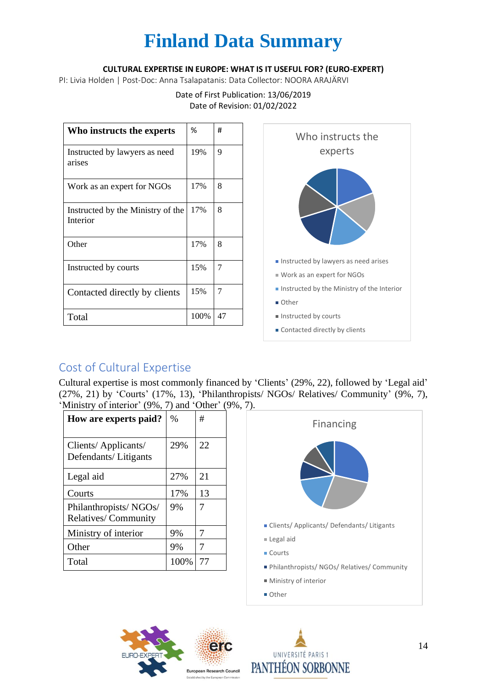#### **CULTURAL EXPERTISE IN EUROPE: WHAT IS IT USEFUL FOR? (EURO-EXPERT)**

PI: Livia Holden | Post-Doc: Anna Tsalapatanis: Data Collector: NOORA ARAJÄRVI

#### Date of First Publication: 13/06/2019 Date of Revision: 01/02/2022

| Who instructs the experts                     | ℅    | #  |
|-----------------------------------------------|------|----|
| Instructed by lawyers as need<br>arises       | 19%  | 9  |
| Work as an expert for NGOs                    | 17%  | 8  |
| Instructed by the Ministry of the<br>Interior | 17%  | 8  |
| Other                                         | 17%  | 8  |
| Instructed by courts                          | 15%  | 7  |
| Contacted directly by clients                 | 15%  | 7  |
| Total                                         | 100% | 47 |



## Cost of Cultural Expertise

Cultural expertise is most commonly financed by 'Clients' (29%, 22), followed by 'Legal aid' (27%, 21) by 'Courts' (17%, 13), 'Philanthropists/ NGOs/ Relatives/ Community' (9%, 7), 'Ministry of interior' (9%, 7) and 'Other' (9%, 7).

| How are experts paid?                               | $\%$ | #  |
|-----------------------------------------------------|------|----|
| Clients/Applicants/<br>Defendants/Litigants         | 29%  | 22 |
| Legal aid                                           | 27%  | 21 |
| Courts                                              | 17%  | 13 |
| Philanthropists/NGOs/<br><b>Relatives/Community</b> | 9%   | 7  |
| Ministry of interior                                | 9%   |    |
| Other                                               | 9%   | 7  |
| Total                                               | 100% | 77 |





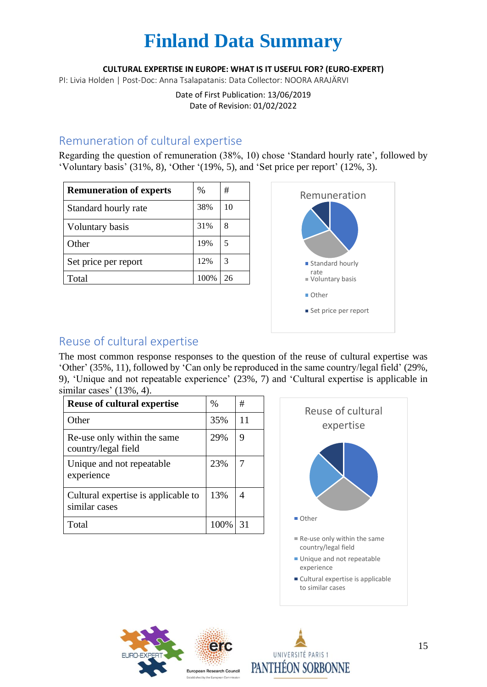#### **CULTURAL EXPERTISE IN EUROPE: WHAT IS IT USEFUL FOR? (EURO-EXPERT)**

PI: Livia Holden | Post-Doc: Anna Tsalapatanis: Data Collector: NOORA ARAJÄRVI

Date of First Publication: 13/06/2019 Date of Revision: 01/02/2022

### Remuneration of cultural expertise

Regarding the question of remuneration (38%, 10) chose 'Standard hourly rate', followed by 'Voluntary basis' (31%, 8), 'Other '(19%, 5), and 'Set price per report' (12%, 3).

| <b>Remuneration of experts</b> | $\%$ | #  |
|--------------------------------|------|----|
| Standard hourly rate           | 38%  | 10 |
| Voluntary basis                | 31%  | 8  |
| Other                          | 19%  |    |
| Set price per report           | 12%  | 3  |
| Total                          | 100% | 26 |



### Reuse of cultural expertise

The most common response responses to the question of the reuse of cultural expertise was 'Other' (35%, 11), followed by 'Can only be reproduced in the same country/legal field' (29%, 9), 'Unique and not repeatable experience' (23%, 7) and 'Cultural expertise is applicable in similar cases' (13%, 4).

| <b>Reuse of cultural expertise</b>                   | $\%$  | #  |
|------------------------------------------------------|-------|----|
| Other                                                | 35%   | 11 |
| Re-use only within the same<br>country/legal field   | 29%   | 9  |
| Unique and not repeatable.<br>experience             | 23%   |    |
| Cultural expertise is applicable to<br>similar cases | 13%   |    |
| Total                                                | 100\% |    |





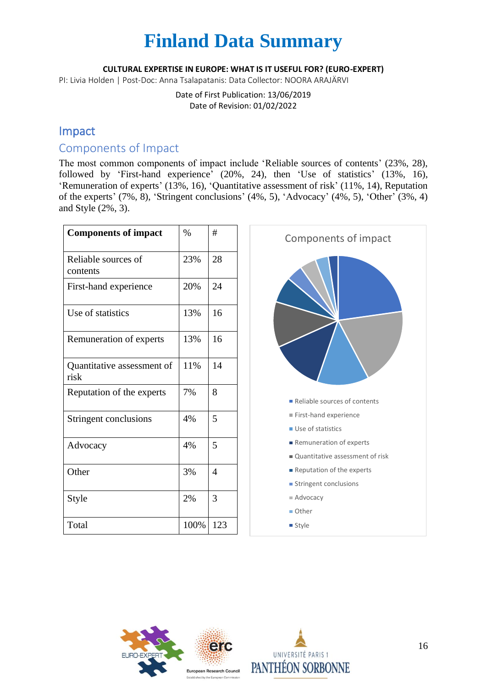#### **CULTURAL EXPERTISE IN EUROPE: WHAT IS IT USEFUL FOR? (EURO-EXPERT)**

PI: Livia Holden | Post-Doc: Anna Tsalapatanis: Data Collector: NOORA ARAJÄRVI

Date of First Publication: 13/06/2019 Date of Revision: 01/02/2022

### Impact

### Components of Impact

The most common components of impact include 'Reliable sources of contents' (23%, 28), followed by 'First-hand experience' (20%, 24), then 'Use of statistics' (13%, 16), 'Remuneration of experts' (13%, 16), 'Quantitative assessment of risk' (11%, 14), Reputation of the experts' (7%, 8), 'Stringent conclusions' (4%, 5), 'Advocacy' (4%, 5), 'Other' (3%, 4) and Style (2%, 3).

| <b>Components of impact</b>        | $\%$ | #   |
|------------------------------------|------|-----|
| Reliable sources of<br>contents    | 23%  | 28  |
| First-hand experience              | 20%  | 24  |
| Use of statistics                  | 13%  | 16  |
| Remuneration of experts            | 13%  | 16  |
| Quantitative assessment of<br>risk | 11%  | 14  |
| Reputation of the experts          | 7%   | 8   |
| Stringent conclusions              | 4%   | 5   |
| Advocacy                           | 4%   | 5   |
| Other                              | 3%   | 4   |
| Style                              | 2%   | 3   |
| Total                              | 100% | 123 |



■ Style



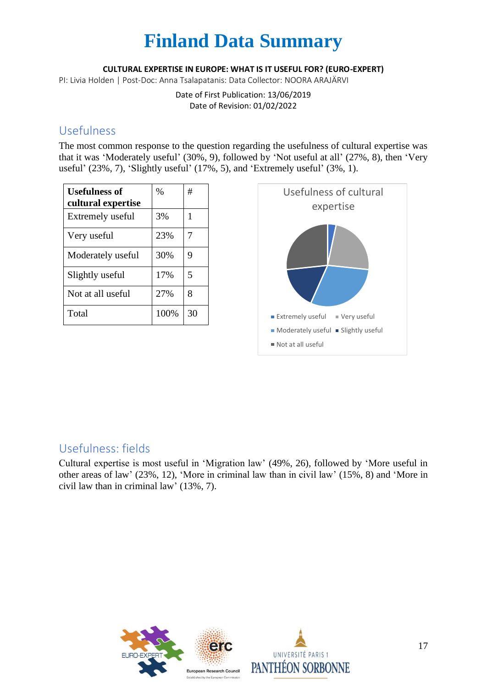#### **CULTURAL EXPERTISE IN EUROPE: WHAT IS IT USEFUL FOR? (EURO-EXPERT)**

PI: Livia Holden | Post-Doc: Anna Tsalapatanis: Data Collector: NOORA ARAJÄRVI

Date of First Publication: 13/06/2019 Date of Revision: 01/02/2022

### Usefulness

The most common response to the question regarding the usefulness of cultural expertise was that it was 'Moderately useful' (30%, 9), followed by 'Not useful at all' (27%, 8), then 'Very useful' (23%, 7), 'Slightly useful' (17%, 5), and 'Extremely useful' (3%, 1).

| <b>Usefulness of</b><br>cultural expertise | $\%$ | #  |
|--------------------------------------------|------|----|
| Extremely useful                           | 3%   |    |
| Very useful                                | 23%  | 7  |
| Moderately useful                          | 30%  | 9  |
| Slightly useful                            | 17%  | 5  |
| Not at all useful                          | 27%  | 8  |
| Total                                      | 100% | 30 |



### Usefulness: fields

Cultural expertise is most useful in 'Migration law' (49%, 26), followed by 'More useful in other areas of law' (23%, 12), 'More in criminal law than in civil law' (15%, 8) and 'More in civil law than in criminal law' (13%, 7).



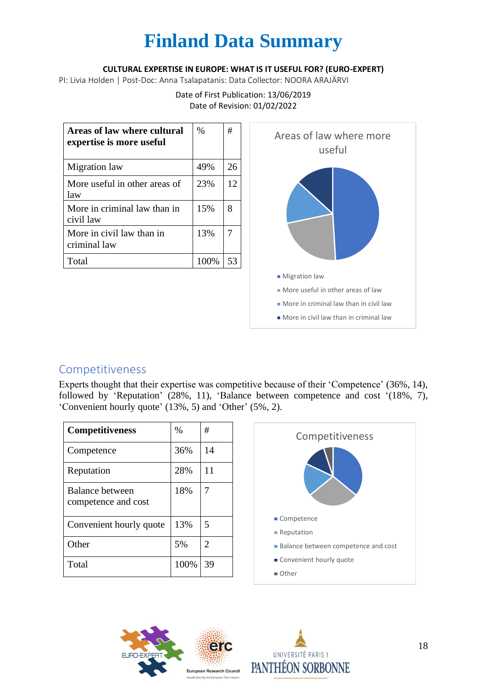#### **CULTURAL EXPERTISE IN EUROPE: WHAT IS IT USEFUL FOR? (EURO-EXPERT)**

PI: Livia Holden | Post-Doc: Anna Tsalapatanis: Data Collector: NOORA ARAJÄRVI

| Areas of law where cultural<br>expertise is more useful | %    | #  |
|---------------------------------------------------------|------|----|
| Migration law                                           | 49%  | 26 |
| More useful in other areas of<br>law                    | 23%  | 12 |
| More in criminal law than in<br>civil law               | 15%  | 8  |
| More in civil law than in<br>criminal law               | 13%  |    |
| Total                                                   | 100% | 53 |

#### Date of First Publication: 13/06/2019 Date of Revision: 01/02/2022



## Competitiveness

Experts thought that their expertise was competitive because of their 'Competence' (36%, 14), followed by 'Reputation' (28%, 11), 'Balance between competence and cost '(18%, 7), 'Convenient hourly quote' (13%, 5) and 'Other' (5%, 2).

| <b>Competitiveness</b>                 | $\%$ | #              |
|----------------------------------------|------|----------------|
| Competence                             | 36%  | 14             |
| Reputation                             | 28%  | 11             |
| Balance between<br>competence and cost | 18%  | 7              |
| Convenient hourly quote                | 13%  | 5              |
| Other                                  | 5%   | $\overline{2}$ |
| Total                                  | 100% | 39             |





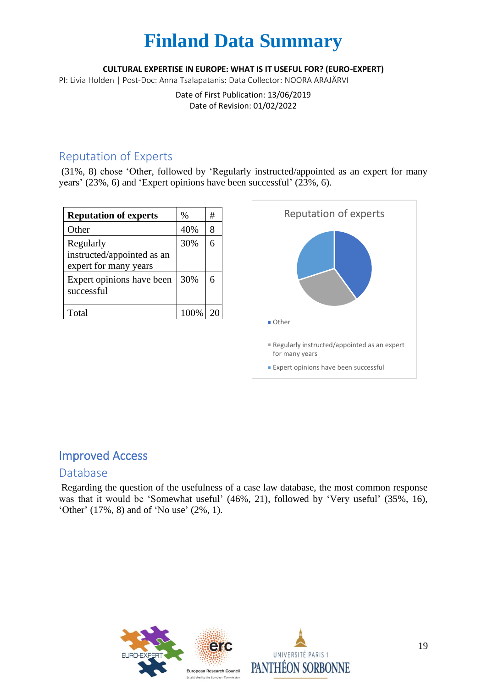#### **CULTURAL EXPERTISE IN EUROPE: WHAT IS IT USEFUL FOR? (EURO-EXPERT)**

PI: Livia Holden | Post-Doc: Anna Tsalapatanis: Data Collector: NOORA ARAJÄRVI

Date of First Publication: 13/06/2019 Date of Revision: 01/02/2022

### Reputation of Experts

(31%, 8) chose 'Other, followed by 'Regularly instructed/appointed as an expert for many years' (23%, 6) and 'Expert opinions have been successful' (23%, 6).

| <b>Reputation of experts</b> | $\%$ | # |
|------------------------------|------|---|
| Other                        | 40%  | 8 |
| Regularly                    | 30%  | 6 |
| instructed/appointed as an   |      |   |
| expert for many years        |      |   |
| Expert opinions have been    | 30%  | 6 |
| successful                   |      |   |
|                              |      |   |
| Total                        | 100% |   |



### Improved Access

### Database

Regarding the question of the usefulness of a case law database, the most common response was that it would be 'Somewhat useful' (46%, 21), followed by 'Very useful' (35%, 16), 'Other' (17%, 8) and of 'No use' (2%, 1).



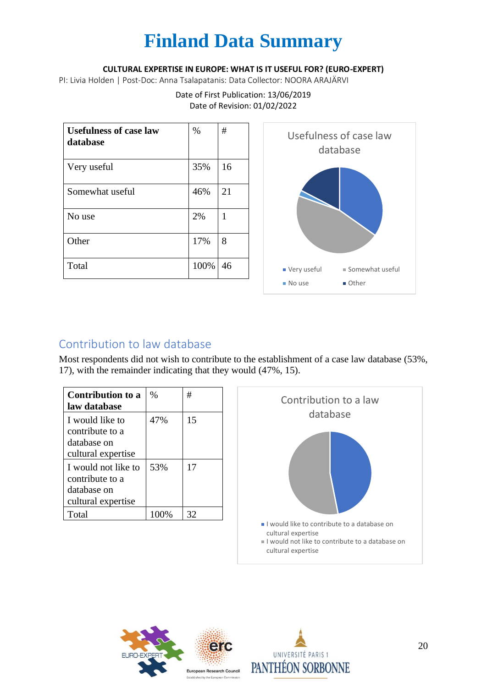#### **CULTURAL EXPERTISE IN EUROPE: WHAT IS IT USEFUL FOR? (EURO-EXPERT)**

PI: Livia Holden | Post-Doc: Anna Tsalapatanis: Data Collector: NOORA ARAJÄRVI

| <b>Usefulness of case law</b><br>database | %    | #  |
|-------------------------------------------|------|----|
| Very useful                               | 35%  | 16 |
| Somewhat useful                           | 46%  | 21 |
| No use                                    | 2%   | 1  |
| Other                                     | 17%  | 8  |
| Total                                     | 100% | 46 |

#### Date of First Publication: 13/06/2019 Date of Revision: 01/02/2022



### Contribution to law database

Most respondents did not wish to contribute to the establishment of a case law database (53%, 17), with the remainder indicating that they would (47%, 15).

| <b>Contribution to a</b><br>law database                                    | %   | #  |
|-----------------------------------------------------------------------------|-----|----|
| I would like to<br>contribute to a<br>database on<br>cultural expertise     | 47% | 15 |
| I would not like to<br>contribute to a<br>database on<br>cultural expertise | 53% | 17 |
| Total                                                                       |     |    |





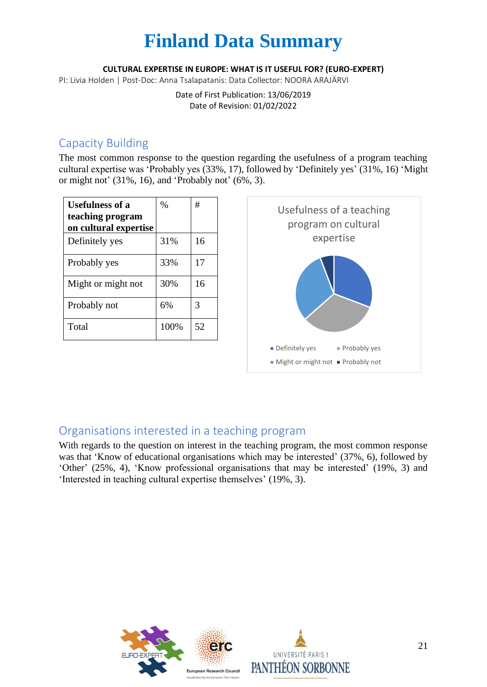#### **CULTURAL EXPERTISE IN EUROPE: WHAT IS IT USEFUL FOR? (EURO-EXPERT)**

PI: Livia Holden | Post-Doc: Anna Tsalapatanis: Data Collector: NOORA ARAJÄRVI

Date of First Publication: 13/06/2019 Date of Revision: 01/02/2022

### Capacity Building

The most common response to the question regarding the usefulness of a program teaching cultural expertise was 'Probably yes (33%, 17), followed by 'Definitely yes' (31%, 16) 'Might or might not' (31%, 16), and 'Probably not' (6%, 3).

| <b>Usefulness of a</b><br>teaching program<br>on cultural expertise | $\%$ | #  |
|---------------------------------------------------------------------|------|----|
| Definitely yes                                                      | 31%  | 16 |
| Probably yes                                                        | 33%  | 17 |
| Might or might not                                                  | 30%  | 16 |
| Probably not                                                        | 6%   | 3  |
| Total                                                               | 100% | 52 |



### Organisations interested in a teaching program

With regards to the question on interest in the teaching program, the most common response was that 'Know of educational organisations which may be interested' (37%, 6), followed by 'Other' (25%, 4), 'Know professional organisations that may be interested' (19%, 3) and 'Interested in teaching cultural expertise themselves' (19%, 3).